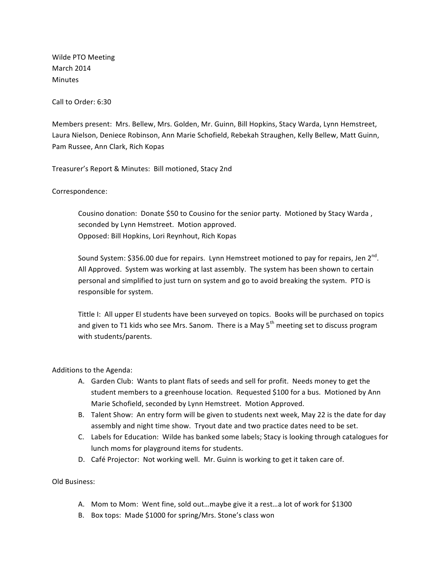Wilde PTO Meeting March 2014 Minutes

Call to Order: 6:30

Members present: Mrs. Bellew, Mrs. Golden, Mr. Guinn, Bill Hopkins, Stacy Warda, Lynn Hemstreet, Laura Nielson, Deniece Robinson, Ann Marie Schofield, Rebekah Straughen, Kelly Bellew, Matt Guinn, Pam Russee, Ann Clark, Rich Kopas

Treasurer's Report & Minutes: Bill motioned, Stacy 2nd

Correspondence:

Cousino donation: Donate \$50 to Cousino for the senior party. Motioned by Stacy Warda, seconded by Lynn Hemstreet. Motion approved. Opposed: Bill Hopkins, Lori Reynhout, Rich Kopas

Sound System: \$356.00 due for repairs. Lynn Hemstreet motioned to pay for repairs, Jen  $2^{nd}$ . All Approved. System was working at last assembly. The system has been shown to certain personal and simplified to just turn on system and go to avoid breaking the system. PTO is responsible for system.

Tittle I: All upper El students have been surveyed on topics. Books will be purchased on topics and given to T1 kids who see Mrs. Sanom. There is a May  $5<sup>th</sup>$  meeting set to discuss program with students/parents.

Additions to the Agenda:

- A. Garden Club: Wants to plant flats of seeds and sell for profit. Needs money to get the student members to a greenhouse location. Requested \$100 for a bus. Motioned by Ann Marie Schofield, seconded by Lynn Hemstreet. Motion Approved.
- B. Talent Show: An entry form will be given to students next week, May 22 is the date for day assembly and night time show. Tryout date and two practice dates need to be set.
- C. Labels for Education: Wilde has banked some labels; Stacy is looking through catalogues for lunch moms for playground items for students.
- D. Café Projector: Not working well. Mr. Guinn is working to get it taken care of.

Old Business:

- A. Mom to Mom: Went fine, sold out...maybe give it a rest...a lot of work for \$1300
- B. Box tops: Made \$1000 for spring/Mrs. Stone's class won